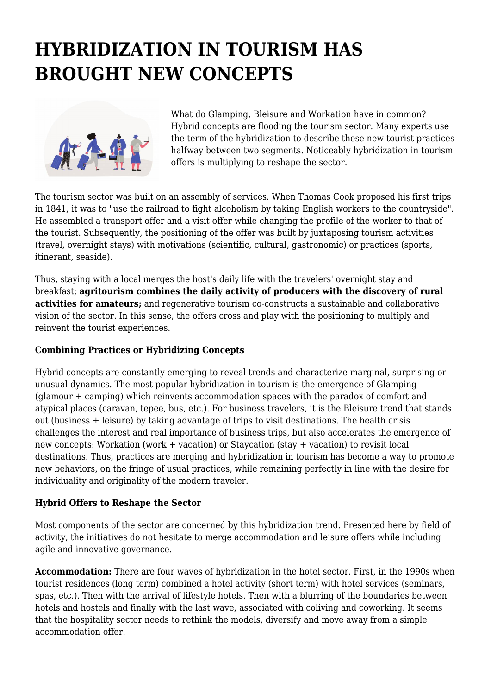# **HYBRIDIZATION IN TOURISM HAS BROUGHT NEW CONCEPTS**



What do Glamping, Bleisure and Workation have in common? Hybrid concepts are flooding the tourism sector. Many experts use the term of the hybridization to describe these new tourist practices halfway between two segments. Noticeably hybridization in tourism offers is multiplying to reshape the sector.

The tourism sector was built on an assembly of services. When Thomas Cook proposed his first trips in 1841, it was to "use the railroad to fight alcoholism by taking English workers to the countryside". He assembled a transport offer and a visit offer while changing the profile of the worker to that of the tourist. Subsequently, the positioning of the offer was built by juxtaposing tourism activities (travel, overnight stays) with motivations (scientific, cultural, gastronomic) or practices (sports, itinerant, seaside).

Thus, staying with a local merges the host's daily life with the travelers' overnight stay and breakfast; **agritourism combines the daily activity of producers with the discovery of rural activities for amateurs;** and regenerative tourism co-constructs a sustainable and collaborative vision of the sector. In this sense, the offers cross and play with the positioning to multiply and reinvent the tourist experiences.

# **Combining Practices or Hybridizing Concepts**

Hybrid concepts are constantly emerging to reveal trends and characterize marginal, surprising or unusual dynamics. The most popular hybridization in tourism is the emergence of Glamping (glamour + camping) which reinvents accommodation spaces with the paradox of comfort and atypical places (caravan, tepee, bus, etc.). For business travelers, it is the Bleisure trend that stands out (business + leisure) by taking advantage of trips to visit destinations. The health crisis challenges the interest and real importance of business trips, but also accelerates the emergence of new concepts: Workation (work + vacation) or Staycation (stay + vacation) to revisit local destinations. Thus, practices are merging and hybridization in tourism has become a way to promote new behaviors, on the fringe of usual practices, while remaining perfectly in line with the desire for individuality and originality of the modern traveler.

### **Hybrid Offers to Reshape the Sector**

Most components of the sector are concerned by this hybridization trend. Presented here by field of activity, the initiatives do not hesitate to merge accommodation and leisure offers while including agile and innovative governance.

**Accommodation:** There are four waves of hybridization in the hotel sector. First, in the 1990s when tourist residences (long term) combined a hotel activity (short term) with hotel services (seminars, spas, etc.). Then with the arrival of lifestyle hotels. Then with a blurring of the boundaries between hotels and hostels and finally with the last wave, associated with coliving and coworking. It seems that the hospitality sector needs to rethink the models, diversify and move away from a simple accommodation offer.